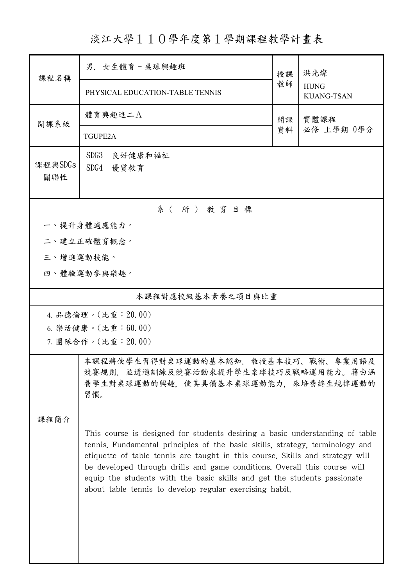淡江大學110學年度第1學期課程教學計畫表

| 課程名稱                | 男. 女生體育-桌球興趣班                                                                                                                                                                                                                                                                                                                                                                                                                                                      | 授課       | 洪光燦<br><b>HUNG</b><br><b>KUANG-TSAN</b> |  |  |  |
|---------------------|--------------------------------------------------------------------------------------------------------------------------------------------------------------------------------------------------------------------------------------------------------------------------------------------------------------------------------------------------------------------------------------------------------------------------------------------------------------------|----------|-----------------------------------------|--|--|--|
|                     | PHYSICAL EDUCATION-TABLE TENNIS                                                                                                                                                                                                                                                                                                                                                                                                                                    | 教師       |                                         |  |  |  |
| 開課系級                | 體育興趣進二A                                                                                                                                                                                                                                                                                                                                                                                                                                                            | 開課<br>資料 | 實體課程<br>必修 上學期 0學分                      |  |  |  |
|                     | <b>TGUPE2A</b>                                                                                                                                                                                                                                                                                                                                                                                                                                                     |          |                                         |  |  |  |
| 課程與SDGs<br>關聯性      | SDG3<br>良好健康和福祉<br>SDG4<br>優質教育                                                                                                                                                                                                                                                                                                                                                                                                                                    |          |                                         |  |  |  |
| 系(所)教育目標            |                                                                                                                                                                                                                                                                                                                                                                                                                                                                    |          |                                         |  |  |  |
|                     | 一、提升身體適應能力。                                                                                                                                                                                                                                                                                                                                                                                                                                                        |          |                                         |  |  |  |
|                     | 二、建立正確體育概念。                                                                                                                                                                                                                                                                                                                                                                                                                                                        |          |                                         |  |  |  |
|                     | 三、增進運動技能。                                                                                                                                                                                                                                                                                                                                                                                                                                                          |          |                                         |  |  |  |
|                     | 四、體驗運動參與樂趣。                                                                                                                                                                                                                                                                                                                                                                                                                                                        |          |                                         |  |  |  |
| 本課程對應校級基本素養之項目與比重   |                                                                                                                                                                                                                                                                                                                                                                                                                                                                    |          |                                         |  |  |  |
|                     | 4. 品德倫理。(比重: 20.00)                                                                                                                                                                                                                                                                                                                                                                                                                                                |          |                                         |  |  |  |
| 6. 樂活健康。(比重: 60.00) |                                                                                                                                                                                                                                                                                                                                                                                                                                                                    |          |                                         |  |  |  |
|                     | 7. 團隊合作。(比重: 20.00)                                                                                                                                                                                                                                                                                                                                                                                                                                                |          |                                         |  |  |  |
|                     | 本課程將使學生習得對桌球運動的基本認知,教授基本技巧、戰術、專業用語及<br>競賽規則,並透過訓練及競賽活動來提升學生桌球技巧及戰略運用能力。藉由涵<br>養學生對桌球運動的興趣, 使其具備基本桌球運動能力, 來培養終生規律運動的<br>習慣。                                                                                                                                                                                                                                                                                                                                         |          |                                         |  |  |  |
| 课程简介                |                                                                                                                                                                                                                                                                                                                                                                                                                                                                    |          |                                         |  |  |  |
|                     | This course is designed for students desiring a basic understanding of table<br>tennis. Fundamental principles of the basic skills, strategy, terminology and<br>etiquette of table tennis are taught in this course. Skills and strategy will<br>be developed through drills and game conditions. Overall this course will<br>equip the students with the basic skills and get the students passionate<br>about table tennis to develop regular exercising habit. |          |                                         |  |  |  |
|                     |                                                                                                                                                                                                                                                                                                                                                                                                                                                                    |          |                                         |  |  |  |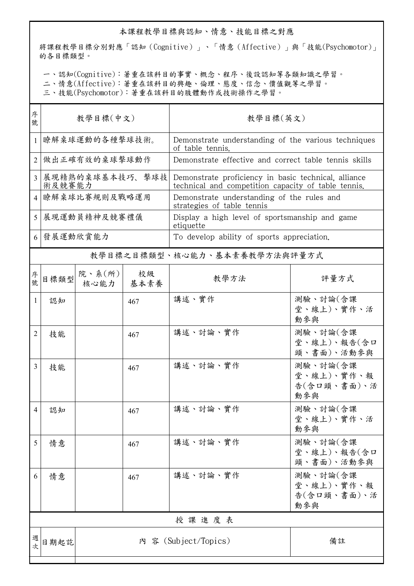## 本課程教學目標與認知、情意、技能目標之對應

將課程教學目標分別對應「認知(Cognitive)」、「情意(Affective)」與「技能(Psychomotor)」 的各目標類型。

一、認知(Cognitive):著重在該科目的事實、概念、程序、後設認知等各類知識之學習。

二、情意(Affective):著重在該科目的興趣、倫理、態度、信念、價值觀等之學習。

三、技能(Psychomotor):著重在該科目的肢體動作或技術操作之學習。

| 序<br>號         | 教學目標(中文)                  |                            |            | 教學目標(英文)                                                                                                    |                                              |
|----------------|---------------------------|----------------------------|------------|-------------------------------------------------------------------------------------------------------------|----------------------------------------------|
| $\mathbf{1}$   | 瞭解桌球運動的各種擊球技術。            |                            |            | Demonstrate understanding of the various techniques<br>of table tennis.                                     |                                              |
| $\overline{2}$ | 做出正確有效的桌球擊球動作             |                            |            | Demonstrate effective and correct table tennis skills                                                       |                                              |
| 3              | 展現精熟的桌球基本技巧、擊球技<br>術及競賽能力 |                            |            | Demonstrate proficiency in basic technical, alliance<br>technical and competition capacity of table tennis. |                                              |
| $\overline{4}$ | 瞭解桌球比賽規則及戰略運用             |                            |            | Demonstrate understanding of the rules and<br>strategies of table tennis                                    |                                              |
| 5              | 展現運動員精神及競賽禮儀              |                            |            | Display a high level of sportsmanship and game<br>etiquette                                                 |                                              |
|                | 6 發展運動欣賞能力                |                            |            | To develop ability of sports appreciation.                                                                  |                                              |
|                |                           |                            |            | 教學目標之目標類型、核心能力、基本素養教學方法與評量方式                                                                                |                                              |
| 序號             | 目標類型                      | 院、系(所)<br>核心能力             | 校級<br>基本素養 | 教學方法                                                                                                        | 評量方式                                         |
| 1              | 認知                        |                            | 467        | 講述、實作                                                                                                       | 測驗、討論(含課<br>堂、線上)、實作、活<br>動參與                |
| 2              | 技能                        |                            | 467        | 講述、討論、實作                                                                                                    | 測驗、討論(含課<br>堂、線上)、報告(含口<br>頭、書面)、活動參與        |
| 3              | 技能                        |                            | 467        | 講述、討論、實作                                                                                                    | 測驗、討論(含課<br>堂、線上)、實作、報<br>告(含口頭、書面)、活<br>動參與 |
| 4              | 認知                        |                            | 467        | 講述、討論、實作                                                                                                    | 測驗、討論(含課<br>堂、線上)、實作、活<br>動參與                |
| 5              | 情意                        |                            | 467        | 講述、討論、實作                                                                                                    | 測驗、討論(含課<br>堂、線上)、報告(含口<br>頭、書面)、活動參與        |
| 6              | 情意                        |                            | 467        | 講述、討論、實作                                                                                                    | 測驗、討論(含課<br>堂、線上)、實作、報<br>告(含口頭、書面)、活<br>動參與 |
|                | 授課進度表                     |                            |            |                                                                                                             |                                              |
| 週次             | 日期起訖                      | 內 容 (Subject/Topics)<br>備註 |            |                                                                                                             |                                              |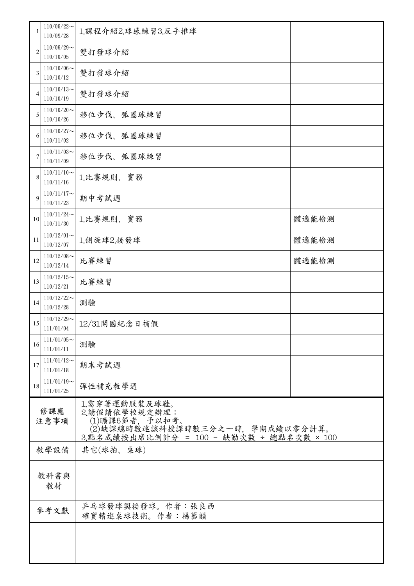|                | $110/09/22$ ~<br>110/09/28    | 1.課程介紹2.球感練習3.反手推球                                                         |       |  |  |  |
|----------------|-------------------------------|----------------------------------------------------------------------------|-------|--|--|--|
| $\overline{2}$ | $110/09/29$ ~<br>110/10/05    | 雙打發球介紹                                                                     |       |  |  |  |
| 3              | $110/10/06 \sim$<br>110/10/12 | 雙打發球介紹                                                                     |       |  |  |  |
| $\overline{4}$ | $110/10/13$ ~<br>110/10/19    | 雙打發球介紹                                                                     |       |  |  |  |
| 5              | $110/10/20$ ~<br>110/10/26    | 移位步伐、弧圈球練習                                                                 |       |  |  |  |
| 6              | $110/10/27$ ~<br>110/11/02    | 移位步伐、弧圈球練習                                                                 |       |  |  |  |
| 7              | $110/11/03$ ~<br>110/11/09    | 移位步伐、弧圈球練習                                                                 |       |  |  |  |
| 8              | $110/11/10$ ~<br>110/11/16    | 1.比賽規則、實務                                                                  |       |  |  |  |
| 9              | $110/11/17$ ~<br>110/11/23    | 期中考試週                                                                      |       |  |  |  |
| 10             | $110/11/24$ ~<br>110/11/30    | 1.比賽規則、實務                                                                  | 體適能檢測 |  |  |  |
| 11             | $110/12/01$ ~<br>110/12/07    | 1.側旋球2.接發球<br>體適能檢測                                                        |       |  |  |  |
| 12             | $110/12/08$ ~<br>110/12/14    | 比賽練習<br>體適能檢測                                                              |       |  |  |  |
| 13             | $110/12/15$ ~<br>110/12/21    | 比賽練習                                                                       |       |  |  |  |
| 14             | $110/12/22$ ~<br>110/12/28    | 測驗                                                                         |       |  |  |  |
| 15             | $110/12/29$ ~<br>111/01/04    | 12/31開國紀念日補假                                                               |       |  |  |  |
| 16             | $111/01/05$ ~<br>111/01/11    | 測驗                                                                         |       |  |  |  |
| 17             | $111/01/12$ ~<br>111/01/18    | 期末考試週                                                                      |       |  |  |  |
| 18             | $111/01/19$ ~<br>111/01/25    | 彈性補充教學週                                                                    |       |  |  |  |
| 修課應<br>注意事項    |                               | 1.需穿著運動服裝及球鞋。<br>2.請假請依學校規定辦理:<br>3.點名成績按出席比例計分 = 100 - 缺勤次數 ÷ 總點名次數 × 100 |       |  |  |  |
|                | 教學設備                          | 其它(球拍、桌球)                                                                  |       |  |  |  |
| 教科書與<br>教材     |                               |                                                                            |       |  |  |  |
|                | 參考文獻                          | 乒乓球發球與接發球。作者:張良西<br>確實精進桌球技術。作者:楊藝韻                                        |       |  |  |  |
|                |                               |                                                                            |       |  |  |  |